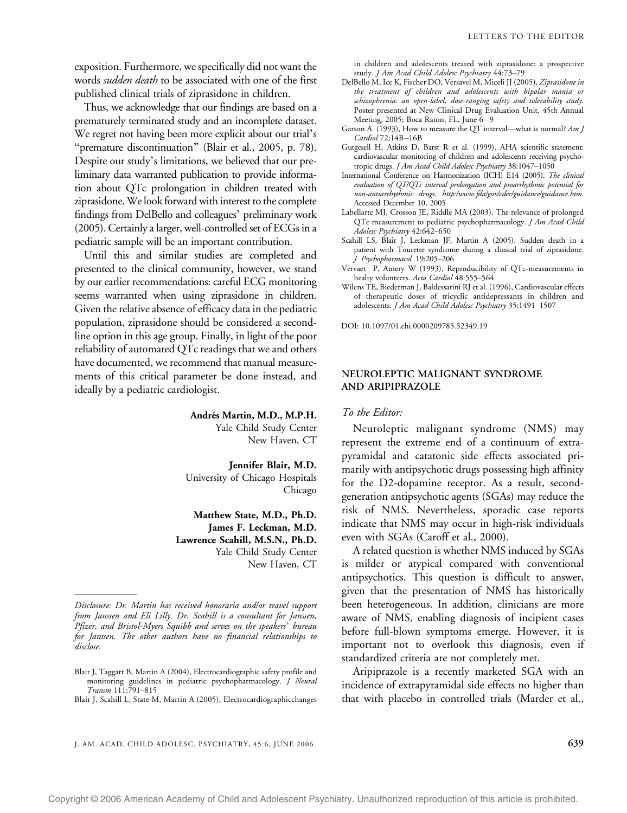exposition. Furthermore, we specifically did not want the words sudden death to be associated with one of the first published clinical trials of ziprasidone in children.

Thus, we acknowledge that our findings are based on a prematurely terminated study and an incomplete dataset. We regret not having been more explicit about our trial's "premature discontinuation" (Blair et al., 2005, p. 78). Despite our study's limitations, we believed that our preliminary data warranted publication to provide information about QTc prolongation in children treated with ziprasidone.We look forward with interest to the complete findings from DelBello and colleagues' preliminary work (2005). Certainly a larger, well-controlled set of ECGs in a pediatric sample will be an important contribution.

Until this and similar studies are completed and presented to the clinical community, however, we stand by our earlier recommendations: careful ECG monitoring seems warranted when using ziprasidone in children. Given the relative absence of efficacy data in the pediatric population, ziprasidone should be considered a secondline option in this age group. Finally, in light of the poor reliability of automated QTc readings that we and others have documented, we recommend that manual measurements of this critical parameter be done instead, and ideally by a pediatric cardiologist.

### Andrés Martin, M.D., M.P.H.

Yale Child Study Center New Haven, CT

#### Jennifer Blair, M.D.

University of Chicago Hospitals Chicago

Matthew State, M.D., Ph.D. James F. Leckman, M.D. Lawrence Scahill, M.S.N., Ph.D. Yale Child Study Center New Haven, CT

Blair J, Scahill L, State M, Martin A (2005), Electrocardiographicchanges

in children and adolescents treated with ziprasidone: a prospective study. J Am Acad Child Adolesc Psychiatry 44:73-79

- DelBello M, Ice K, Fischer DO, Versavel M, Miceli JJ (2005), Ziprasidone in the treatment of children and adolescents with bipolar mania or schizophrenia: an open-label, dose-ranging safety and tolerability study. Poster presented at New Clinical Drug Evaluation Unit, 45th Annual Meeting, 2005; Boca Raton, FL, June  $6-9$
- Garson A (1993), How to measure the QT interval—what is normal?  $Am J$ Cardiol 72:14B-16B
- Gutgesell H, Atkins D, Barst R et al. (1999), AHA scientific statement: cardiovascular monitoring of children and adolescents receiving psychotropic drugs. J Am Acad Child Adolesc Psychiatry 38:1047-1050
- International Conference on Harmonization (ICH) E14 (2005). The clinical evaluation of QT/QTc interval prolongation and proarrhythmic potential for non-antiarrhythmic drugs. http:/www.fda/gov/cder/guidance/guidance.htm. Accessed December 10, 2005
- Labellarte MJ, Crosson JE, Riddle MA (2003), The relevance of prolonged QTc measurement to pediatric psychopharmacology. J Am Acad Child Adolesc Psychiatry 42:642-650
- Scahill LS, Blair J, Leckman JF, Martin A (2005), Sudden death in a patient with Tourette syndrome during a clinical trial of ziprasidone.  $J$  Psychopharmacol 19:205-206
- Vervaet P, Amery W (1993), Reproducibility of QTc-measurements in healty volunteers. Acta Cardiol 48:555-564
- Wilens TE, Biederman J, Baldessarini RJ et al. (1996), Cardiovascular effects of therapeutic doses of tricyclic antidepressants in children and adolescents. J Am Acad Child Adolesc Psychiatry 35:1491-1507

DOI: 10.1097/01.chi.0000209785.52349.19

## NEUROLEPTIC MALIGNANT SYNDROME AND ARIPIPRAZOLE

# To the Editor:

Neuroleptic malignant syndrome (NMS) may represent the extreme end of a continuum of extrapyramidal and catatonic side effects associated primarily with antipsychotic drugs possessing high affinity for the D2-dopamine receptor. As a result, secondgeneration antipsychotic agents (SGAs) may reduce the risk of NMS. Nevertheless, sporadic case reports indicate that NMS may occur in high-risk individuals even with SGAs (Caroff et al., 2000).

A related question is whether NMS induced by SGAs is milder or atypical compared with conventional antipsychotics. This question is difficult to answer, given that the presentation of NMS has historically been heterogeneous. In addition, clinicians are more aware of NMS, enabling diagnosis of incipient cases before full-blown symptoms emerge. However, it is important not to overlook this diagnosis, even if standardized criteria are not completely met.

Aripiprazole is a recently marketed SGA with an incidence of extrapyramidal side effects no higher than that with placebo in controlled trials (Marder et al.,

Disclosure: Dr. Martin has received honoraria and/or travel support from Janssen and Eli Lilly. Dr. Scahill is a consultant for Janssen, Pfizer, and Bristol-Myers Squibb and serves on the speakers' bureau for Janssen. The other authors have no financial relationships to disclose.

Blair J, Taggart B, Martin A (2004), Electrocardiographic safety profile and monitoring guidelines in pediatric psychopharmacology. J Neural Transm 111:791-815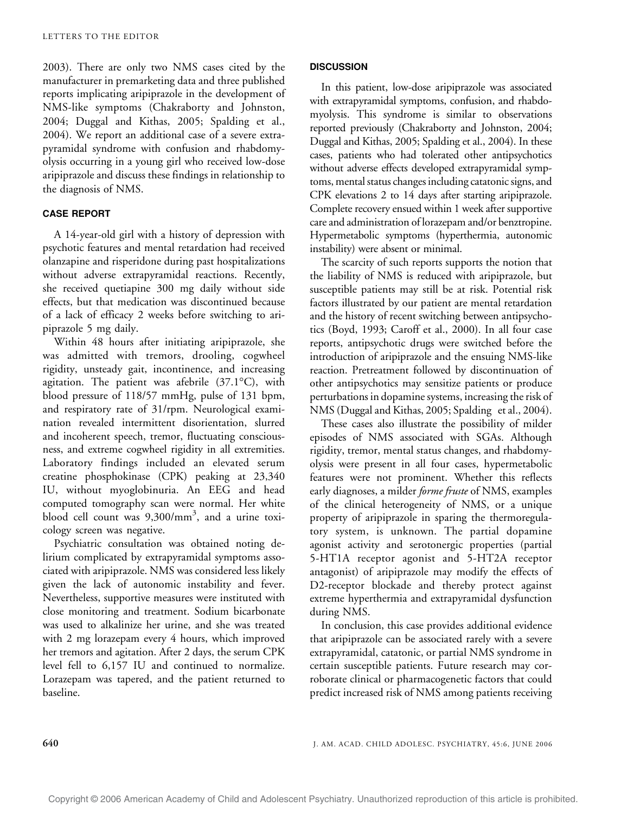2003). There are only two NMS cases cited by the manufacturer in premarketing data and three published reports implicating aripiprazole in the development of NMS-like symptoms (Chakraborty and Johnston, 2004; Duggal and Kithas, 2005; Spalding et al., 2004). We report an additional case of a severe extrapyramidal syndrome with confusion and rhabdomyolysis occurring in a young girl who received low-dose aripiprazole and discuss these findings in relationship to the diagnosis of NMS.

# CASE REPORT

A 14-year-old girl with a history of depression with psychotic features and mental retardation had received olanzapine and risperidone during past hospitalizations without adverse extrapyramidal reactions. Recently, she received quetiapine 300 mg daily without side effects, but that medication was discontinued because of a lack of efficacy 2 weeks before switching to aripiprazole 5 mg daily.

Within 48 hours after initiating aripiprazole, she was admitted with tremors, drooling, cogwheel rigidity, unsteady gait, incontinence, and increasing agitation. The patient was afebrile  $(37.1^{\circ}C)$ , with blood pressure of 118/57 mmHg, pulse of 131 bpm, and respiratory rate of 31/rpm. Neurological examination revealed intermittent disorientation, slurred and incoherent speech, tremor, fluctuating consciousness, and extreme cogwheel rigidity in all extremities. Laboratory findings included an elevated serum creatine phosphokinase (CPK) peaking at 23,340 IU, without myoglobinuria. An EEG and head computed tomography scan were normal. Her white blood cell count was  $9,300/\text{mm}^3$ , and a urine toxicology screen was negative.

Psychiatric consultation was obtained noting delirium complicated by extrapyramidal symptoms associated with aripiprazole. NMS was considered less likely given the lack of autonomic instability and fever. Nevertheless, supportive measures were instituted with close monitoring and treatment. Sodium bicarbonate was used to alkalinize her urine, and she was treated with 2 mg lorazepam every 4 hours, which improved her tremors and agitation. After 2 days, the serum CPK level fell to 6,157 IU and continued to normalize. Lorazepam was tapered, and the patient returned to baseline.

#### **DISCUSSION**

In this patient, low-dose aripiprazole was associated with extrapyramidal symptoms, confusion, and rhabdomyolysis. This syndrome is similar to observations reported previously (Chakraborty and Johnston, 2004; Duggal and Kithas, 2005; Spalding et al., 2004). In these cases, patients who had tolerated other antipsychotics without adverse effects developed extrapyramidal symptoms, mental status changes including catatonic signs, and CPK elevations 2 to 14 days after starting aripiprazole. Complete recovery ensued within 1 week after supportive care and administration of lorazepam and/or benztropine. Hypermetabolic symptoms (hyperthermia, autonomic instability) were absent or minimal.

The scarcity of such reports supports the notion that the liability of NMS is reduced with aripiprazole, but susceptible patients may still be at risk. Potential risk factors illustrated by our patient are mental retardation and the history of recent switching between antipsychotics (Boyd, 1993; Caroff et al., 2000). In all four case reports, antipsychotic drugs were switched before the introduction of aripiprazole and the ensuing NMS-like reaction. Pretreatment followed by discontinuation of other antipsychotics may sensitize patients or produce perturbations in dopamine systems, increasing the risk of NMS (Duggal and Kithas, 2005; Spalding et al., 2004).

These cases also illustrate the possibility of milder episodes of NMS associated with SGAs. Although rigidity, tremor, mental status changes, and rhabdomyolysis were present in all four cases, hypermetabolic features were not prominent. Whether this reflects early diagnoses, a milder *forme fruste* of NMS, examples of the clinical heterogeneity of NMS, or a unique property of aripiprazole in sparing the thermoregulatory system, is unknown. The partial dopamine agonist activity and serotonergic properties (partial 5-HT1A receptor agonist and 5-HT2A receptor antagonist) of aripiprazole may modify the effects of D2-receptor blockade and thereby protect against extreme hyperthermia and extrapyramidal dysfunction during NMS.

In conclusion, this case provides additional evidence that aripiprazole can be associated rarely with a severe extrapyramidal, catatonic, or partial NMS syndrome in certain susceptible patients. Future research may corroborate clinical or pharmacogenetic factors that could predict increased risk of NMS among patients receiving